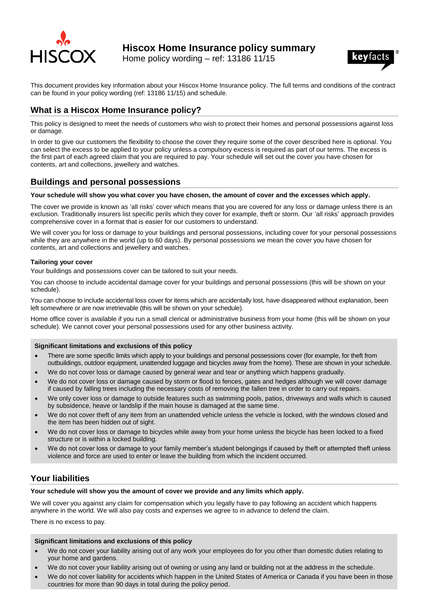

**Hiscox Home Insurance policy summary**

Home policy wording – ref: 13186 11/15



This document provides key information about your Hiscox Home Insurance policy. The full terms and conditions of the contract can be found in your policy wording (ref: 13186 11/15) and schedule.

# **What is a Hiscox Home Insurance policy?**

This policy is designed to meet the needs of customers who wish to protect their homes and personal possessions against loss or damage.

In order to give our customers the flexibility to choose the cover they require some of the cover described here is optional. You can select the excess to be applied to your policy unless a compulsory excess is required as part of our terms. The excess is the first part of each agreed claim that you are required to pay. Your schedule will set out the cover you have chosen for contents, art and collections, jewellery and watches.

# **Buildings and personal possessions**

### **Your schedule will show you what cover you have chosen, the amount of cover and the excesses which apply.**

The cover we provide is known as 'all risks' cover which means that you are covered for any loss or damage unless there is an exclusion. Traditionally insurers list specific perils which they cover for example, theft or storm. Our 'all risks' approach provides comprehensive cover in a format that is easier for our customers to understand.

We will cover you for loss or damage to your buildings and personal possessions, including cover for your personal possessions while they are anywhere in the world (up to 60 days). By personal possessions we mean the cover you have chosen for contents, art and collections and jewellery and watches.

### **Tailoring your cover**

Your buildings and possessions cover can be tailored to suit your needs.

You can choose to include accidental damage cover for your buildings and personal possessions (this will be shown on your schedule).

You can choose to include accidental loss cover for items which are accidentally lost, have disappeared without explanation, been left somewhere or are now irretrievable (this will be shown on your schedule).

Home office cover is available if you run a small clerical or administrative business from your home (this will be shown on your schedule). We cannot cover your personal possessions used for any other business activity.

### **Significant limitations and exclusions of this policy**

- There are some specific limits which apply to your buildings and personal possessions cover (for example, for theft from outbuildings, outdoor equipment, unattended luggage and bicycles away from the home). These are shown in your schedule.
- We do not cover loss or damage caused by general wear and tear or anything which happens gradually.
- We do not cover loss or damage caused by storm or flood to fences, gates and hedges although we will cover damage if caused by falling trees including the necessary costs of removing the fallen tree in order to carry out repairs.
- We only cover loss or damage to outside features such as swimming pools, patios, driveways and walls which is caused by subsidence, heave or landslip if the main house is damaged at the same time.
- We do not cover theft of any item from an unattended vehicle unless the vehicle is locked, with the windows closed and the item has been hidden out of sight.
- We do not cover loss or damage to bicycles while away from your home unless the bicycle has been locked to a fixed structure or is within a locked building.
- We do not cover loss or damage to your family member's student belongings if caused by theft or attempted theft unless violence and force are used to enter or leave the building from which the incident occurred.

# **Your liabilities**

### **Your schedule will show you the amount of cover we provide and any limits which apply.**

We will cover you against any claim for compensation which you legally have to pay following an accident which happens anywhere in the world. We will also pay costs and expenses we agree to in advance to defend the claim.

There is no excess to pay.

#### **Significant limitations and exclusions of this policy**

- We do not cover your liability arising out of any work your employees do for you other than domestic duties relating to your home and gardens.
- We do not cover your liability arising out of owning or using any land or building not at the address in the schedule.
- We do not cover liability for accidents which happen in the United States of America or Canada if you have been in those countries for more than 90 days in total during the policy period.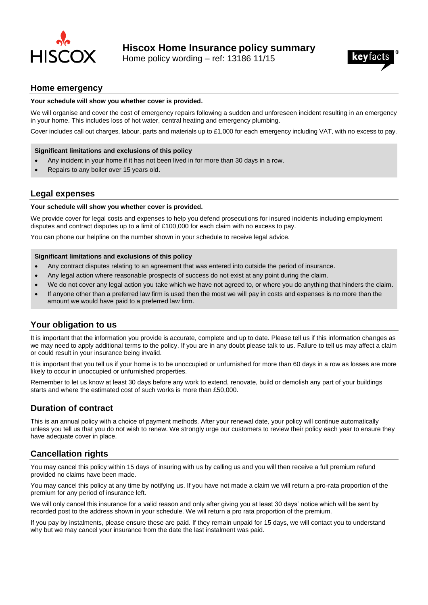

Home policy wording – ref: 13186 11/15



## **Home emergency**

### **Your schedule will show you whether cover is provided.**

We will organise and cover the cost of emergency repairs following a sudden and unforeseen incident resulting in an emergency in your home. This includes loss of hot water, central heating and emergency plumbing.

Cover includes call out charges, labour, parts and materials up to £1,000 for each emergency including VAT, with no excess to pay.

#### **Significant limitations and exclusions of this policy**

- Any incident in your home if it has not been lived in for more than 30 days in a row.
- Repairs to any boiler over 15 years old.

### **Legal expenses**

### **Your schedule will show you whether cover is provided.**

We provide cover for legal costs and expenses to help you defend prosecutions for insured incidents including employment disputes and contract disputes up to a limit of £100,000 for each claim with no excess to pay.

You can phone our helpline on the number shown in your schedule to receive legal advice.

#### **Significant limitations and exclusions of this policy**

- Any contract disputes relating to an agreement that was entered into outside the period of insurance.
- Any legal action where reasonable prospects of success do not exist at any point during the claim.
- We do not cover any legal action you take which we have not agreed to, or where you do anything that hinders the claim.
- If anyone other than a preferred law firm is used then the most we will pay in costs and expenses is no more than the amount we would have paid to a preferred law firm.

# **Your obligation to us**

It is important that the information you provide is accurate, complete and up to date. Please tell us if this information changes as we may need to apply additional terms to the policy. If you are in any doubt please talk to us. Failure to tell us may affect a claim or could result in your insurance being invalid.

It is important that you tell us if your home is to be unoccupied or unfurnished for more than 60 days in a row as losses are more likely to occur in unoccupied or unfurnished properties.

Remember to let us know at least 30 days before any work to extend, renovate, build or demolish any part of your buildings starts and where the estimated cost of such works is more than £50,000.

### **Duration of contract**

This is an annual policy with a choice of payment methods. After your renewal date, your policy will continue automatically unless you tell us that you do not wish to renew. We strongly urge our customers to review their policy each year to ensure they have adequate cover in place.

# **Cancellation rights**

You may cancel this policy within 15 days of insuring with us by calling us and you will then receive a full premium refund provided no claims have been made.

You may cancel this policy at any time by notifying us. If you have not made a claim we will return a pro-rata proportion of the premium for any period of insurance left.

We will only cancel this insurance for a valid reason and only after giving you at least 30 days' notice which will be sent by recorded post to the address shown in your schedule. We will return a pro rata proportion of the premium.

If you pay by instalments, please ensure these are paid. If they remain unpaid for 15 days, we will contact you to understand why but we may cancel your insurance from the date the last instalment was paid.